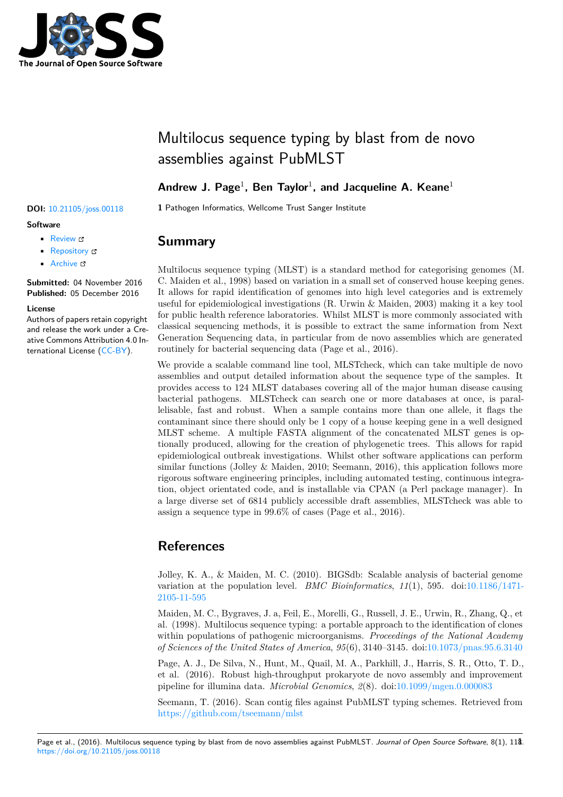

# Multilocus sequence typing by blast from de novo assemblies against PubMLST

### **Andrew J. Page**<sup>1</sup> **, Ben Taylor**<sup>1</sup> **, and Jacqueline A. Keane**<sup>1</sup>

**DOI:** 10.21105/joss.00118 **1** Pathogen Informatics, Wellcome Trust Sanger Institute

## **Summary**

Multilocus sequence typing (MLST) is a standard method for categorising genomes (M. C. Maiden et al., 1998) based on variation in a small set of conserved house keeping genes. It allows for rapid identification of genomes into high level categories and is extremely useful for epidemiological investigations (R. Urwin & Maiden, 2003) making it a key tool for public health reference laboratories. Whilst MLST is more commonly associated with classical sequencing methods, it is possible to extract the same information from Next Generation Sequencing data, in particular from de novo assemblies which are generated routinely for bacterial sequencing data (Page et al., 2016).

We provide a scalable command line tool, MLSTcheck, which can take multiple de novo assemblies and output detailed information about the sequence type of the samples. It provides access to 124 MLST databases covering all of the major human disease causing bacterial pathogens. MLSTcheck can search one or more databases at once, is parallelisable, fast and robust. When a sample contains more than one allele, it flags the contaminant since there should only be 1 copy of a house keeping gene in a well designed MLST scheme. A multiple FASTA alignment of the concatenated MLST genes is optionally produced, allowing for the creation of phylogenetic trees. This allows for rapid epidemiological outbreak investigations. Whilst other software applications can perform similar functions (Jolley & Maiden, 2010; Seemann, 2016), this application follows more rigorous software engineering principles, including automated testing, continuous integration, object orientated code, and is installable via CPAN (a Perl package manager). In a large diverse set of 6814 publicly accessible draft assemblies, MLSTcheck was able to assign a sequence type in 99.6% of cases (Page et al., 2016).

# **References**

Jolley, K. A., & Maiden, M. C. (2010). BIGSdb: Scalable analysis of bacterial genome variation at the population level. *BMC Bioinformatics*, *11*(1), 595. doi:10.1186/1471- 2105-11-595

Maiden, M. C., Bygraves, J. a, Feil, E., Morelli, G., Russell, J. E., Urwin, R., Zhang, Q., et al. (1998). Multilocus sequence typing: a portable approach to the identification of clones within populations of pathogenic microorganisms. *Proceedings of the Nati[onal Academy](https://doi.org/10.1186/1471-2105-11-595) [of Sciences o](https://doi.org/10.1186/1471-2105-11-595)f the United States of America*, *95*(6), 3140–3145. doi:10.1073/pnas.95.6.3140

Page, A. J., De Silva, N., Hunt, M., Quail, M. A., Parkhill, J., Harris, S. R., Otto, T. D., et al. (2016). Robust high-throughput prokaryote de novo assembly and improvement pipeline for illumina data. *Microbial Genomics*, *2*(8). doi:10.1099/mgen.0.000083

Seemann, T. (2016). Scan contig files against PubMLST typing s[chemes. Retrieved from](https://doi.org/10.1073/pnas.95.6.3140) https://github.com/tseemann/mlst

#### Page et al., (2016). Multilocus sequence typing by blast from de novo assemblies against PubMLST. Journ[al of Open Source Software](https://doi.org/10.1099/mgen.0.000083), 8(1), 11**8**. https://doi.org/10.21105/joss.0011[8](https://github.com/tseemann/mlst)

### **Software**

- Review &
- [Repository](https://doi.org/10.21105/joss.00118) &
- Archive L'

**Subm[itted:](https://github.com/openjournals/joss-reviews/issues/118)** 04 November 2016 **Published:** [05 De](https://github.com/sanger-pathogens/mlst_check)cember 2016

#### **Licen[se](http://dx.doi.org/10.6084/m9.figshare.4285097.v1)**

Authors of papers retain copyright and release the work under a Creative Commons Attribution 4.0 International License (CC-BY).